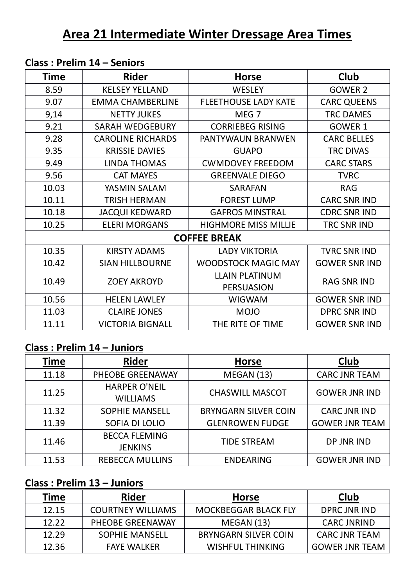| <b>Time</b> | <b>Rider</b>             | <b>Horse</b>                | Club                 |
|-------------|--------------------------|-----------------------------|----------------------|
| 8.59        | <b>KELSEY YELLAND</b>    | <b>WESLEY</b>               | <b>GOWER 2</b>       |
| 9.07        | <b>EMMA CHAMBERLINE</b>  | <b>FLEETHOUSE LADY KATE</b> | <b>CARC QUEENS</b>   |
| 9,14        | <b>NETTY JUKES</b>       | MEG <sub>7</sub>            | <b>TRC DAMES</b>     |
| 9.21        | <b>SARAH WEDGEBURY</b>   | <b>CORRIEBEG RISING</b>     | GOWER 1              |
| 9.28        | <b>CAROLINE RICHARDS</b> | PANTYWAUN BRANWEN           | <b>CARC BELLES</b>   |
| 9.35        | <b>KRISSIE DAVIES</b>    | <b>GUAPO</b>                | <b>TRC DIVAS</b>     |
| 9.49        | <b>LINDA THOMAS</b>      | <b>CWMDOVEY FREEDOM</b>     | <b>CARC STARS</b>    |
| 9.56        | <b>CAT MAYES</b>         | <b>GREENVALE DIEGO</b>      | <b>TVRC</b>          |
| 10.03       | YASMIN SALAM             | <b>SARAFAN</b>              | <b>RAG</b>           |
| 10.11       | <b>TRISH HERMAN</b>      | <b>FOREST LUMP</b>          | <b>CARC SNR IND</b>  |
| 10.18       | <b>JACQUI KEDWARD</b>    | <b>GAFROS MINSTRAL</b>      | <b>CDRC SNR IND</b>  |
| 10.25       | <b>ELERI MORGANS</b>     | <b>HIGHMORE MISS MILLIE</b> | TRC SNR IND          |
|             |                          | <b>COFFEE BREAK</b>         |                      |
| 10.35       | <b>KIRSTY ADAMS</b>      | <b>LADY VIKTORIA</b>        | <b>TVRC SNR IND</b>  |
| 10.42       | <b>SIAN HILLBOURNE</b>   | <b>WOODSTOCK MAGIC MAY</b>  | <b>GOWER SNR IND</b> |
|             | <b>ZOEY AKROYD</b>       | <b>LLAIN PLATINUM</b>       | <b>RAG SNR IND</b>   |
| 10.49       |                          | <b>PERSUASION</b>           |                      |
| 10.56       | <b>HELEN LAWLEY</b>      | <b>WIGWAM</b>               | <b>GOWER SNR IND</b> |
| 11.03       | <b>CLAIRE JONES</b>      | <b>MOJO</b>                 | <b>DPRC SNR IND</b>  |
| 11.11       | <b>VICTORIA BIGNALL</b>  | THE RITE OF TIME            | <b>GOWER SNR IND</b> |

## **Class : Prelim 14 – Seniors**

## **Class : Prelim 14 – Juniors**

| <b>Time</b> | <b>Rider</b>                            | <b>Horse</b>                | Club                  |
|-------------|-----------------------------------------|-----------------------------|-----------------------|
| 11.18       | PHEOBE GREENAWAY                        | MEGAN (13)                  | <b>CARC JNR TEAM</b>  |
| 11.25       | <b>HARPER O'NEIL</b><br><b>WILLIAMS</b> | <b>CHASWILL MASCOT</b>      | <b>GOWER JNR IND</b>  |
| 11.32       | <b>SOPHIE MANSELL</b>                   | <b>BRYNGARN SILVER COIN</b> | <b>CARC JNR IND</b>   |
| 11.39       | SOFIA DI LOLIO                          | <b>GLENROWEN FUDGE</b>      | <b>GOWER JNR TEAM</b> |
| 11.46       | <b>BECCA FLEMING</b><br><b>JENKINS</b>  | <b>TIDE STREAM</b>          | DP JNR IND            |
| 11.53       | <b>REBECCA MULLINS</b>                  | <b>ENDEARING</b>            | <b>GOWER JNR IND</b>  |

## **Class : Prelim 13 – Juniors**

| Time  | <b>Rider</b>             | <b>Horse</b>                | <b>Club</b>           |
|-------|--------------------------|-----------------------------|-----------------------|
| 12.15 | <b>COURTNEY WILLIAMS</b> | <b>MOCKBEGGAR BLACK FLY</b> | DPRC JNR IND          |
| 12.22 | PHEOBE GREENAWAY         | MEGAN(13)                   | <b>CARC JNRIND</b>    |
| 12.29 | <b>SOPHIE MANSELL</b>    | <b>BRYNGARN SILVER COIN</b> | <b>CARC JNR TEAM</b>  |
| 12.36 | <b>FAYE WALKER</b>       | <b>WISHFUL THINKING</b>     | <b>GOWER JNR TEAM</b> |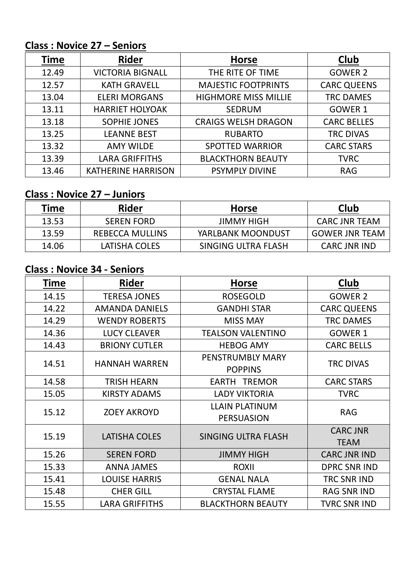# **Class : Novice 27 – Seniors**

| Time  | <b>Rider</b>              | <b>Horse</b>                | Club               |
|-------|---------------------------|-----------------------------|--------------------|
| 12.49 | <b>VICTORIA BIGNALL</b>   | THE RITE OF TIME            | <b>GOWER 2</b>     |
| 12.57 | <b>KATH GRAVELL</b>       | <b>MAJESTIC FOOTPRINTS</b>  | <b>CARC QUEENS</b> |
| 13.04 | <b>ELERI MORGANS</b>      | <b>HIGHMORE MISS MILLIE</b> | <b>TRC DAMES</b>   |
| 13.11 | <b>HARRIET HOLYOAK</b>    | <b>SEDRUM</b>               | GOWER 1            |
| 13.18 | <b>SOPHIE JONES</b>       | <b>CRAIGS WELSH DRAGON</b>  | <b>CARC BELLES</b> |
| 13.25 | <b>LEANNE BEST</b>        | <b>RUBARTO</b>              | <b>TRC DIVAS</b>   |
| 13.32 | <b>AMY WILDE</b>          | <b>SPOTTED WARRIOR</b>      | <b>CARC STARS</b>  |
| 13.39 | <b>LARA GRIFFITHS</b>     | <b>BLACKTHORN BEAUTY</b>    | <b>TVRC</b>        |
| 13.46 | <b>KATHERINE HARRISON</b> | <b>PSYMPLY DIVINE</b>       | <b>RAG</b>         |

#### **Class : Novice 27 – Juniors**

| Time  | Rider                  | <b>Horse</b>        | Club                  |
|-------|------------------------|---------------------|-----------------------|
| 13.53 | <b>SEREN FORD</b>      | <b>JIMMY HIGH</b>   | <b>CARC JNR TEAM</b>  |
| 13.59 | <b>REBECCA MULLINS</b> | YARLBANK MOONDUST   | <b>GOWER JNR TEAM</b> |
| 14.06 | LATISHA COLES          | SINGING ULTRA FLASH | <b>CARC JNR IND</b>   |

## **Class : Novice 34 - Seniors**

| <b>Time</b> | <b>Rider</b>          | <b>Horse</b>                               | Club                           |
|-------------|-----------------------|--------------------------------------------|--------------------------------|
| 14.15       | <b>TERESA JONES</b>   | <b>ROSEGOLD</b>                            | <b>GOWER 2</b>                 |
| 14.22       | <b>AMANDA DANIELS</b> | <b>GANDHI STAR</b>                         | <b>CARC QUEENS</b>             |
| 14.29       | <b>WENDY ROBERTS</b>  | <b>MISS MAY</b>                            | <b>TRC DAMES</b>               |
| 14.36       | <b>LUCY CLEAVER</b>   | <b>TEALSON VALENTINO</b>                   | GOWER 1                        |
| 14.43       | <b>BRIONY CUTLER</b>  | <b>HEBOG AMY</b>                           | <b>CARC BELLS</b>              |
| 14.51       | <b>HANNAH WARREN</b>  | PENSTRUMBLY MARY<br><b>POPPINS</b>         | <b>TRC DIVAS</b>               |
| 14.58       | <b>TRISH HEARN</b>    | <b>EARTH TREMOR</b>                        | <b>CARC STARS</b>              |
| 15.05       | <b>KIRSTY ADAMS</b>   | <b>LADY VIKTORIA</b>                       | <b>TVRC</b>                    |
| 15.12       | <b>ZOEY AKROYD</b>    | <b>LLAIN PLATINUM</b><br><b>PERSUASION</b> | <b>RAG</b>                     |
| 15.19       | LATISHA COLES         | SINGING ULTRA FLASH                        | <b>CARC JNR</b><br><b>TEAM</b> |
| 15.26       | <b>SEREN FORD</b>     | <b>JIMMY HIGH</b>                          | <b>CARC JNR IND</b>            |
| 15.33       | <b>ANNA JAMES</b>     | <b>ROXII</b>                               | <b>DPRC SNR IND</b>            |
| 15.41       | <b>LOUISE HARRIS</b>  | <b>GENAL NALA</b>                          | TRC SNR IND                    |
| 15.48       | <b>CHER GILL</b>      | <b>CRYSTAL FLAME</b>                       | <b>RAG SNR IND</b>             |
| 15.55       | <b>LARA GRIFFITHS</b> | <b>BLACKTHORN BEAUTY</b>                   | <b>TVRC SNR IND</b>            |